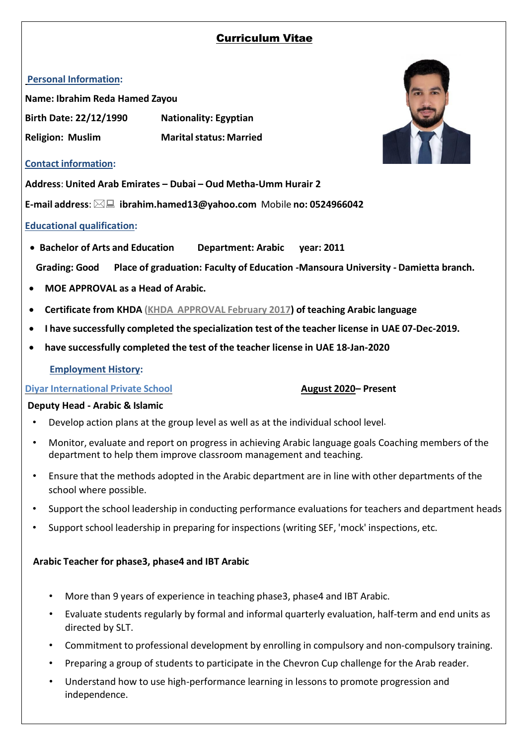# Curriculum Vitae

# **Personal Information:**

**Name: Ibrahim Reda Hamed Zayou Birth Date: 22/12/1990 Nationality: Egyptian Religion: Muslim Maritalstatus: Married**



### **Contact information:**

**Address**: **United Arab Emirates – Dubai – Oud Metha-Umm Hurair 2**

**E-mail address**: **[ibrahim.hamed13@yahoo.com](mailto:ibrahim.hamed13@yahoo.com)** Mobile **no: 0524966042** 

# **Educational qualification:**

• **Bachelor of Arts and Education Department: Arabic year: 2011**

**Grading: Good Place of graduation: Faculty of Education -Mansoura University - Damietta branch.**

- **MOE APPROVAL as a Head of Arabic.**
- **Certificate from KHDA (KHDA APPROVAL February 2017) of teaching Arabic language**
- **I have successfully completed the specialization test of the teacher license in UAE 07-Dec-2019.**
- **have successfully completed the test of the teacher license in UAE 18-Jan-2020**

# **Employment History:**

### **Diyar International Private School August 2020– Present**

# **Deputy Head - Arabic & Islamic**

- Develop action plans at the group level as well as at the individual school level.
- Monitor, evaluate and report on progress in achieving Arabic language goals Coaching members of the department to help them improve classroom management and teaching.
- Ensure that the methods adopted in the Arabic department are in line with other departments of the school where possible.
- Support the school leadership in conducting performance evaluations for teachers and department heads
- Support school leadership in preparing for inspections (writing SEF, 'mock' inspections, etc.

# **Arabic Teacher for phase3, phase4 and IBT Arabic**

- More than 9 years of experience in teaching phase3, phase4 and IBT Arabic.
- Evaluate students regularly by formal and informal quarterly evaluation, half-term and end units as directed by SLT.
- Commitment to professional development by enrolling in compulsory and non-compulsory training.
- Preparing a group of students to participate in the Chevron Cup challenge for the Arab reader.
- Understand how to use high-performance learning in lessons to promote progression and independence.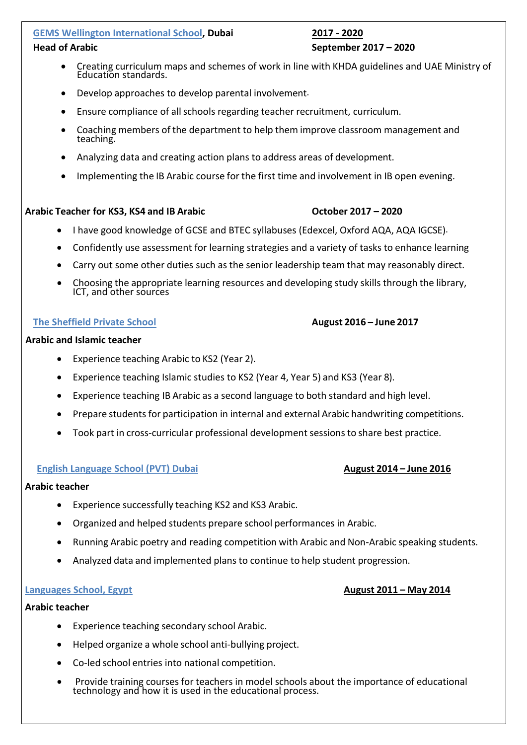### **GEMS Wellington International School, Dubai 2017 - 2020**

### • Creating curriculum maps and schemes of work in line with KHDA guidelines and UAE Ministry of Education standards.

- Develop approaches to develop parental involvement.
- Ensure compliance of all schools regarding teacher recruitment, curriculum.
- Coaching members of the department to help them improve classroom management and teaching.
- Analyzing data and creating action plans to address areas of development.
- Implementing the IB Arabic course for the first time and involvement in IB open evening.

### **Arabic Teacher for KS3, KS4 and IB Arabic October 2017 – 2020**

- I have good knowledge of GCSE and BTEC syllabuses (Edexcel, Oxford AQA, AQA IGCSE).
- Confidently use assessment for learning strategies and a variety of tasks to enhance learning
- Carry out some other duties such as the senior leadership team that may reasonably direct.
- Choosing the appropriate learning resources and developing study skills through the library, ICT, and other sources

### **The Sheffield Private School August 2016 – June 2017**

### **Arabic and Islamic teacher**

- Experience teaching Arabic to KS2 (Year 2).
- Experience teaching Islamic studies to KS2 (Year 4, Year 5) and KS3 (Year 8).
- Experience teaching IB Arabic as a second language to both standard and high level.
- Prepare studentsfor participation in internal and external Arabic handwriting competitions.
- Took part in cross-curricular professional development sessions to share best practice.

### **English Language School (PVT) Dubai August 2014 – June 2016**

### **Arabic teacher**

- Experience successfully teaching KS2 and KS3 Arabic.
- Organized and helped students prepare school performances in Arabic.
- Running Arabic poetry and reading competition with Arabic and Non-Arabic speaking students.
- Analyzed data and implemented plans to continue to help student progression.

#### **Languages School, Egypt August 2011 – May 2014**

#### **Arabic teacher**

- Experience teaching secondary school Arabic.
- Helped organize a whole school anti-bullying project.
- Co-led school entries into national competition.
- Provide training courses for teachers in model schools about the importance of educational technology and how it is used in the educational process.

# **Head of Arabic September 2017 – 2020**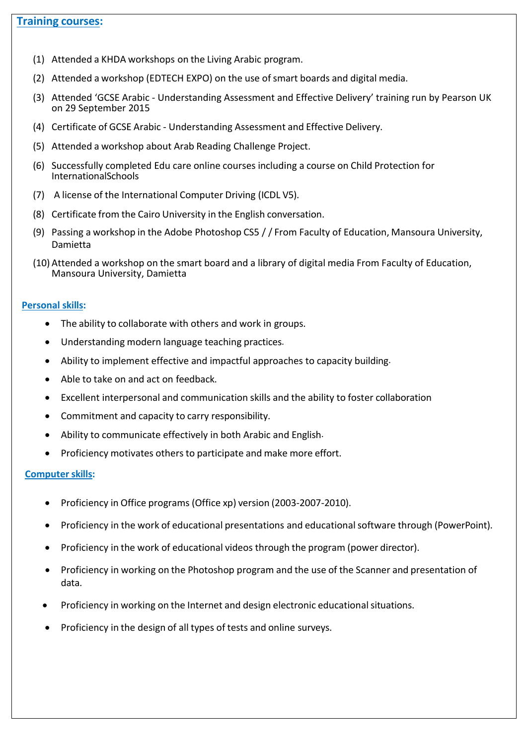# **Training courses:**

- (1) Attended a KHDA workshops on the Living Arabic program.
- (2) Attended a workshop (EDTECH EXPO) on the use of smart boards and digital media.
- (3) Attended 'GCSE Arabic Understanding Assessment and Effective Delivery' training run by Pearson UK on 29 September 2015
- (4) Certificate of GCSE Arabic Understanding Assessment and Effective Delivery.
- (5) Attended a workshop about Arab Reading Challenge Project.
- (6) Successfully completed Edu care online courses including a course on Child Protection for InternationalSchools
- (7) A license of the International Computer Driving (ICDL V5).
- (8) Certificate from the Cairo University in the English conversation.
- (9) Passing a workshop in the Adobe Photoshop CS5 / / From Faculty of Education, Mansoura University, Damietta
- (10) Attended a workshop on the smart board and a library of digital media From Faculty of Education, Mansoura University, Damietta

#### **Personal skills:**

- The ability to collaborate with others and work in groups.
- Understanding modern language teaching practices.
- Ability to implement effective and impactful approaches to capacity building.
- Able to take on and act on feedback.
- Excellent interpersonal and communication skills and the ability to foster collaboration
- Commitment and capacity to carry responsibility.
- Ability to communicate effectively in both Arabic and English.
- Proficiency motivates others to participate and make more effort.

#### **Computer skills:**

- Proficiency in Office programs (Office xp) version (2003-2007-2010).
- Proficiency in the work of educational presentations and educationalsoftware through (PowerPoint).
- Proficiency in the work of educational videos through the program (power director).
- Proficiency in working on the Photoshop program and the use of the Scanner and presentation of data.
- Proficiency in working on the Internet and design electronic educationalsituations.
- Proficiency in the design of all types of tests and online surveys.